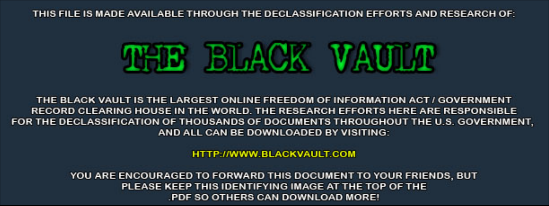THIS FILE IS MADE AVAILABLE THROUGH THE DECLASSIFICATION EFFORTS AND RESEARCH OF:



THE BLACK VAULT IS THE LARGEST ONLINE FREEDOM OF INFORMATION ACT / GOVERNMENT RECORD CLEARING HOUSE IN THE WORLD. THE RESEARCH EFFORTS HERE ARE RESPONSIBLE FOR THE DECLASSIFICATION OF THOUSANDS OF DOCUMENTS THROUGHOUT THE U.S. GOVERNMENT, AND ALL CAN BE DOWNLOADED BY VISITING:

**HTTP://WWW.BLACKVAULT.COM** 

YOU ARE ENCOURAGED TO FORWARD THIS DOCUMENT TO YOUR FRIENDS, BUT PLEASE KEEP THIS IDENTIFYING IMAGE AT THE TOP OF THE PDF SO OTHERS CAN DOWNLOAD MORE!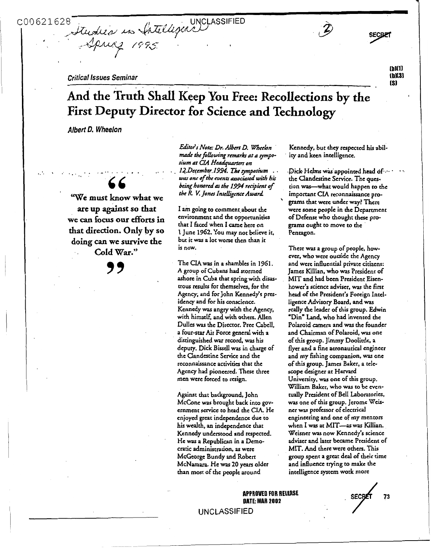C00621628

*0* 

.. . .

tudies in Intelligence UNCLASSIFIED

# *Critical Issues Seminar* **[bl[SI** .. **[SI** .. **And the Truth Shall Keep You Free: Recollections by the First Deputy Director for Science and Technology**

*Albert 0. Wheelon* 

*66* . ... **'We must know what we** ' **are up against so that we** *can* **focus efforts** *in* environment and **the** opportunities **that direC&n\* Only by SO doing** *can* **we survive** *&e*  is now. . **Cold War."** 

*99* 

**Ediroir** *Note: Dr. Afbcrt D. Whrrlon*  made the following remarks at a sympo $r$ *ium at CIA Headquarters on was one of tbe ryenpl associated with bir being honondas tbe 1994 recipient of the R. V. Jones Intelligence Award.* 12. December 1994. The symposium . . . . Dick Helms was appointed head of ... .

I *un* going **to** comment.about **the chat I** ficed when I **came** here **on**  1 June **1962.** You may **not** believe **it,**  but *it* was a lot wosc then than it

The CIA **was** in a shambles in **1961.**  A group of Cubans **had stormed**  ashore in Cuba that spring with **disas**trous results for themselves, for the **Agency;** and for John Kennedy's presidency and **for** his conscience. Kennedy **was** angry with **the Agency,**  with himsclf, and with **others.** Allen Dullcs **was the** Dircccor. **Pree** Cabell, a four-scar Air **Force general with** a distinguished **war** record, **was** his deputy. Dick Bissell **was** in charge of che Clandestine Service and **&e**  reconnaissance activities that **the Agency** had pioneered. **These** three men were forced **to** resign.

**Agaht chat** background, John McCone **was** brought back into **gov**ernment service **to** had **che CIA.** He enjoyed great independence due to his wealth. an independence **chat**  Kcnncdy understood and respected. He **was** a Republican in a Democratic administration, **as** were **McGeorge** Bundy and **Roben**  McNamara. **He was 20** years older than most of **the** people around

Kennedy, but **they** respected his abilicy and keen intelligence.

the Clandestine Service. The question was-what would happen **to** the important **CIA** reconnaissance pro**grams** that wete under **way?** There were some people in the Department of Defense who **thought** these pro**grams** ought **to** move **to the**  Pentagon.

There **was** a group of people, however, who **were** ourside **the Agency**  and were influential private citizens: Jams Killian, **who was** President of **MIT** and had been President Eisenhower's science adviser. was **the first**  head of **the** President's Foreign **Intel**ligence Advisory Board, and **was**  really the leader of **this** group. Edwin 'Din" Land, **who** had invented **the**  Polaroid **camera** and **was the** founder and Chairman of Polaroid, **was one**  of **chis** group. Jimmy Doolitrle, a **flyer** and a **fine** aeronautical engineer and my fishing companion, **was one**  of **this** group. **James** Baker, a **tcle**scope designer at Harvard University. **was** one **of this** group. William **Baker,** who **was** to be eventually President of Bell Laboratories, **was one** of this group. **Jerome Weis**ner **was** professor of elecuical engineering and one **of** my **mentors**  when I **was** at MIT-as **was** Killian. **Weisner was** now Kennedy's science adviser and later became President of MIT. And there **were others.** This group spent a **great** deal **of** heir time and influence **trying to makc the**  intelligence **system** work **more** 

**APPROVED FOR RELEASE DATE: MAR 2002** DATE: MAR 2002<br>UNCLASSIFIED



**SECBET** 

**[bllll** 

**T**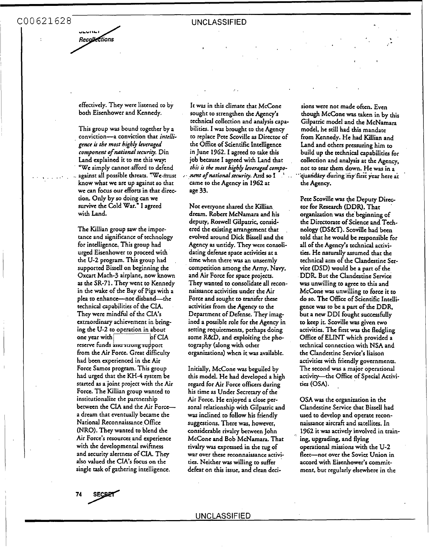فالمحادث وزار Recollections

effectively. They were listened to by both Eisenhower and Kennedy.

This group **was** bound together by a conviction-a conviction that *inteffigence* **is** *the most highly heraged component of national* **security.** Din Land explained it **to** me this **way**  "We simply cannot afford to defend against all possible threats. "We must know what we are up against **so** that we can focus our efforts in that direction. Only by *so* doing can we survive the Cold War." I agreed with Land.

The Killian group saw the importance and significance of technology for intelligence. This group had urged Eisenhower to proceed with the **U-2** program. This group had supported Bissell on beginning the Oxcart Mach-3 airplane, now known **as** the SR-71. They went to Kennedy in the wake of the Bay of Pigs with a plea to enhance-not disband-the technical capabilities of the CIA. They were mindful of the **CIA'S**  extraordinary achievement in bringing the U-2 to operation in about  $of  $CA$$ one year with reserve funds and strong support from the Air Force. Great difficulty had been experienced in the Air **Force Samos** program. This group had urged that the KH-4 system be started **as** a joint project with the Air Force. The Killian group wanted to institutionalize the partnership between the CIA and the Air Forcea dream that eventually became the National Reconnaissance Office (NRO). They wanted to blend the Air Force's resources and experience with the developmental swiftness and security alertness of CIA. They **also** valued the **CIA'S** focus on the single task of gathering intelligence,

It **was** in this climate that McCone sought to strengthen the Agency's technical collection and analysis Capabilities. I was brought to the Agency to replace Pete Scoville **as** Director of the Office of Scientific Intelligence in June *1962.* I agreed to take this job because I agreed with Land that *this* **is** *the most highly beraged compo* $n$ ent of national *security*. And so I Came to the Agency in *1962* at age 33.

 $\mathcal{L}^{\mathcal{L}}$ 

Not everyone shared the Killian dream. Robert McNamara and his deputy, Roswell Gilpatric, considered the existing arrangement that , evolved around Dick **Bkll and the**  Agency **as** untidy. **They** were consolidating defense space activities at a time when there **was** an unseemly competition among the Army, Navy, and Air **Force** for space projects. They wanted to consolidate all reconnaissance activities under the Air Force and sought to transfer these activities from the Agency to the Department of Defense. **They** imagined a possible role for the Agency in setting requirements, perhaps doing some **R&D,** and exploiting the photography (along with other organizations) when it **was** available.

Initially, McCone **was** beguiled by this **model.** He had developed a high regard for Air Force officers during his time **as** Under Secretary of the Air Force. He enjoyed a close personal relationship with Gilpatric and was inclined to follow his friendly suggestions. There **was,** however, considerable rivalry between John McCone and Bob McNamara. That rivalry **was** apressed in the *tug* of war over these reconnaissance activitics. Neither **was** willing to suffer defeat on this issue, and clean deci-

sions were not made often. Even though McGne **was** taken in by this Gilpatric model and the McNamara model, he still had **&is** mandate from Kennedy. He had Killian and Land and others pressuring him to build up the technical capabilities for collection and analysis at the Agency, not to tear them down. He was in a \*"quand&y dudngiiiy'firs *year* here at ' the Agency.

Pete Scoville **was** (he Deputy Director for Research (DDR). That **organizacion was** the'beginning of the Directorate of Science and Tech**nology (DS&T).** Scoville had been told that he would be responsible for all of the Agency's technical activities. He naturally assumed that the technical arm of the Clandestine Service **(DSD)** would be a part of the **DDR** But the Clandestine Service **was** unwilling to agree to this and McCone **was** unwilling to force it to do so. The Office of Scientific Intelligence **was** to **be** a part of the DDR, but a new DDI foughc successfully to keep it. Scoville **was** given **two**  activities. The fint **was** the fledgling Office of **ELINT** which provided a technical connection with NSA and the Clandestine Service's liaison activities with friendly governments. The second was a major operational activity-the Office of Special Activitics **(OSA).** 

**OSA** was the organization in the Clandestine Service that Bissell had used to develop and operate rccon**naissance** aircafi and satellites. In **1962** it **was** actively involved in trainoperational missions with the U-2 fleet-not over the Soviet Union in accord with Eisenhower's commitment, but regularly elsewhere in the ing, upgrading, and flying

**SECBP1**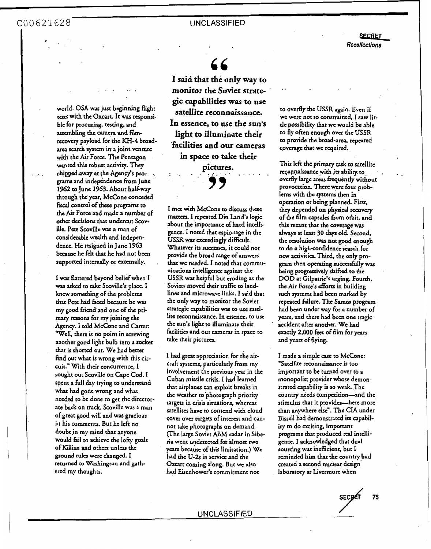COO621628 UNCLASSIFIED

. . .  $\mathcal{C}$ 

,

*66* 

**SECRET**<br>llections *Recollections* 

..

# world. *0%* **was just** beginning flight **tests** with the *Oxcart.* It **was** responsible for procuring, testing, and assembling the camera and filmrecovery payload for the KH-4 broad**area** search system in **a** joint venture with **the** Air **Force.** The Pentagon **wanted this robust** activiry. **They**  .chipped away at the Agency's pro*grams* and independence from Junc **1962** to June **1963.** About half-my through the year, McCone conceded<br>fiscal control of these programs to the Air **Force and** made a number **of**  other decisions chat undercut Scovillc Pete Scoville **was a** man **of**  considerable wealth and independence. He resigned in June **1963**  because he felt that he had **not** been

.. .

I **was** flattered beyond belief when I **was** asked **to** cake Scoville's place. I knew something of the problems **that** Pete had ficcd because he was my **good** friend and one of the pri*mary* **reasons** for my joining the Agency. I told McCone and Carter: 'well, there is **no** point in screwing another good light bulb into a socket that is shorted out. We had better find out what is wrong with this circuit." With their concurrence, I sought out Scovillc **on** Cape Cod. I spent a full day trying **to** understand what had gone wrong and what needed to be done **to** get the directorate back **on track.** Scoville was a man of **great** good will and **was** gracious **in** his comments. But he left **no**  doubt in my mind that anyone would fid **to** achieve the **lofcy goals**  of Killian and others unless **the**  ground rules were changed. I rcrurncd to Washington and gathered my thoughts.

supported internally or externally.

**I said that the only way to monitor the Soviet strategic capabilities was to use satellite reconnaissance. In essence, to use the sun's light to illuminate their kcilities and our cameras in space to take their** 

pictures.

I met with **McCane** *to* discuss these matters. I **repeated** Din Land's logic .about the importance of hard intclli**gene.** I noted that espionage in the **USSR was** exceedingly difficult. Whatever its successes, it could **not**  provide the broad range of answers that we needed. I noted that communications inrelligence **against the USSR was** helpful but eroding **as** the Soviets moved their traffic to landlines and microwave links. I said that **the** only way **to** monitor the Soviet stracegic capabilities **was** to use satellite reconnaissance. **In essence, to** use the **sun's** light to illuminatc their

I had **great** appreciation for the aircraft systems, particularly from **my**  involvement the previous **year** in the Cuban missile crisis. I had learned that airplanes can exploit breaks in the weather to'photograph prioricy cargets **in crisis** situations, whereas satellites have to contend with cloud cover over targets **of** interest and cannot de photographs **on** demand. (The large Soviet **ABM** radar in Siberia went undetected **for** ilmost **two**  years because of **ths** limitation.) We had the **U-2S** in service and the *Oxcart* coming **along.** But we also had Eisenhower's commitment **not** 

facilities and our **cameras** in space **to** 

**take** their pictures.

**to** overfly the **USSR** again. Even if we were **not so** constrained, I saw little possibiliry that we would be able **to** fly often enough over the **USSR**  to provide the broad-area, repeated coverage that we required.

This left the primary task to satellite reconnaissance with its ability to overfly large areas frequently without provocation. There were four problcms with the systems **hen** in operation **or** being planned First, **they** depended **on** physical recovery of the film capsules from orbit, and this meant that **the** coverage was **always at least 30 days** old. Second, the resolution **was not** *good* enough to do a high-confidence **search** for new activities. Third, the only program then operating successfully **was**  being progressively shifted **to** the DOD at Gilpatric's urging. Fourth, the Air Force's efforts in building such systems had **been** marked by repeated failure. The **Smos** program had been under way for a number of years, and there had been **one** tragic accident **after** another. We had exactly **2,000** feet of film for years and years of flying.

I made a simple case to McCone: 'Satellite reconnaissance is **too**  important to be turned over to a monopolist provider whose demonstrated capability is **so** weak The country needs competition-and the stimulus that it provides--here **more**  than anywhere else". The **CIA** under Bissell had demonstrated **iu** capability to do exciting, imporrant programs that produced **real** intelligence. I acknowledged that dual sourcing **was** inefficient, but I reminded him that the countryhad created a second nuclear design laboratory at Livermore when

**sEc& <sup>75</sup>**  $\frac{secpt}{2}$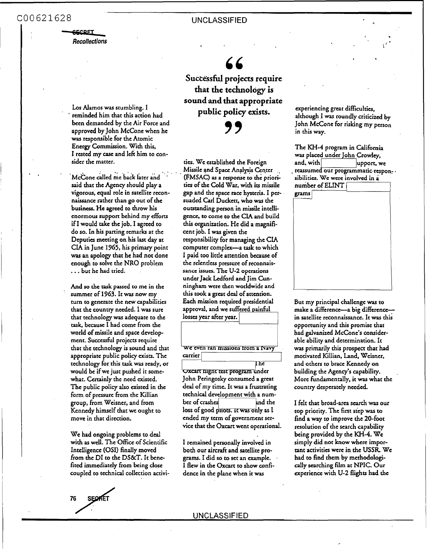# COO621628 UNCLASSIFIED<br>
Recollections<br>
Recollections

*Recollections* 

**Los** Alamos was stumbling. I been demanded by the Air Force and approved by John McCone when he **was** rcsponsible for the Atomic Energy Commission. With this, I rested my *case* and **lek** him to consider the matter. ' reminded him that this action had

.<br>McCone called me back later and said that **the** Agency should play a vigorous, equal role in satellite reconnaissance rather than **go** out of **the**  business. He agreed to throw his enormous SUPPOK behind my **efforts**  if I would take **the** job. I agreed to do **so.** In **his** parting remarks at the Deputies meeting on his last day at CIA in June *1965,* his primary point **was** an apology that he had not done enough to solve the **NRO** problem . . . but he had tried.

And **so the** task passed to me in the summer of *1963.* It **was** now my turn to generate the new capabilities that the country needed. I was sure that technology was adequate to **the**  task, because I had come from **the**  world **of** missile and space devclopment. Successful projects require that **the** technology is sound and that appropriate public policy exists. The technology for this task was ready. **or**  would be if we just pushed it somcwhat. Certainly the need existed. The public policy also existed in the form of pressure from the Killian group, from Weisncr, and from Kennedy himself that **we** ought to move in that direction.

We had ongoing problems to deal with **as** well. The Office of Scientific Intelligence **(OSI)** finally moved from the DI to the DS&T. It benefited immediately from being close coupled **to** technical collection activi-

**Successful projects require that the technology is sound and that appropriate public policy** *exists.* 

*\$9* 

ties. We established the Foreign Missile and Space Analysis Center .<br>(FMSAC) as a response to the priorities of **the** Cold War, with its missile gap and the space race hysteria. I persuaded Carl Duckett, who was the outstanding person in missile intelligcnce. **to** came to **the** CIA and build **chis** organization. He did **a** magnificent job. I **was** given **the**  responsibility for managing the CIA computer complex-a task to which I paid too little attention because of the relcndess prcssure of reconnaissance issues. The U-2 operations under Jack Ledford and Jim Cunningham were thcn worldwide and this took a grat deal of attention. **Each** mission required presidential approval, and we suffered painful losses year after year.

# <sup>I</sup>' **we cvcn** ran **muslons trom** a Naw carrier

 $\overline{\text{Ine}}$ 

Uxcart tught test program under John Peringosky consumed a great deal of my time. It was a frustrating technical development with a number of crashes and the loss of good pitots. It was only as I ended my term of government service that the **Oxcart** went operational.

I remained personally involved in **both** our **aircraft** and satellite pro**grams.** I did **so** to **set** an example. I flew in **the** Oxcart to show confidence in the plane when it **was** 

experiencing **great** difficulties, although **.I was** roundly criticized by John McCone for risking my person in **this way.** 

 $\mathcal{L}^{\mathcal{L}}$ 

,

The KH-4 program in California was placed under John Crowley, and, with upport, we reassumed our programmatic-responand, with sibilities. **We** were involved in **a**  number of **ELINT** 

**grams** <sup>I</sup>

But my principal challenge **was** to make a difference-a big differencein satellite reconnaissance. It **was thi;**  opportunity and this promise that had galvanized McCone's considerable ability and determination. It was primarily **this** prospect that had motivated Killian, Land, Wcisner, and others to brace Kennedy **on**  building the Agency's capabiliry. More fundamentally, it **was** what **the**  country desperately needed.

I felt that broad-area **search** was our top priority. The first step **was** to find a way to improve **the** 20-foot resolution of the search capability being provided by the KH-4. We simply did not know where imporrant activities were in **the USSR** We had to find them by merhodologically searching film at **NPIC.** Our experience with **U-2** flights had the

**UNCLASSIFIED**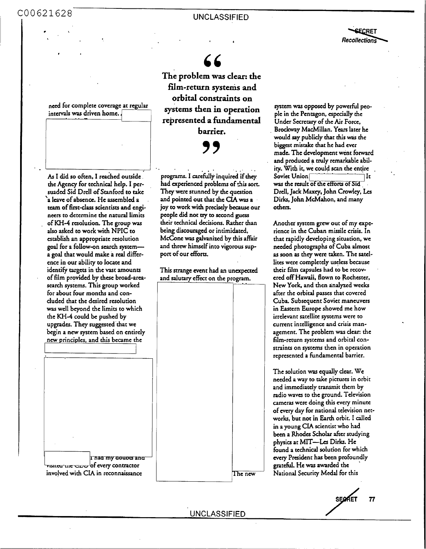**<sup>I</sup>**UNCLASSIFIED COO621628

21628<br> *Recollections*<br> *Recollections* 

**The problem was clear: the**  film-return systems and **orbital constraints on systems then in operation represented a fundamental barrier.** 

*99* 

As I did so often, I reached outside. **the** Agency for technical help. I persuaded Sid Drcll of Stanford to *nke*  'a leave **of** absence. **He** assembled a team of first-class scientists and engineers to determine **the** natunl limits . of KH-4 resolution. **The** group **was**  also asked *to* work with NPIC to

J

need for complete coverage at regular

intervals was driven home.

establish an appropriate resolution goal for a follow-on **search** systerna goal that would make a **red** difference in **our** abiliry to locate and identify **targets** in **the vast** amounts of film provided by **these** broad-arca**sarch** systems. **This** group worked for about four months and concluded that **the** desired resolution **was** well beyond **the** limits to which **the** KH-4 could be pushed by upgrades. They suggested that we begin a new system based on entirely new principles, and this became **the** 



programs. I carefully inquired if they had experienced problems of this sort. **They were** stunned by **the** question and pointed **out** *that* **the** *CIA* **was a joy** to work with precisely because **our**  people did not rry to second *guess*  their technical decisions. Rather **than**  being discouraged **or** intimidated, McCone **was** galvanized by this **&ir**  and threw himself into vigorous sup**po't** of **our** dforts.

This strange event had an unexpected and salutary effect on the program.

system **was** opposed by powerful people in **the** Pentagon, especially **the**  Under **Secretary** of **the Air Force.**  Brockway MacMillan. Years later he would say publicly *that* **this was the**  biggest mistake that he had ever made. **The** development went forward and produced a truly remarkable ability. With it, we could scan the entire<br>Soviet Union was the result of the efforts of Sid Drell, Jack Maxey, John Crowley, Les Dirks, John McMahon, and many **others.** 

Another system grew out of my experience in **the** Cuban missile crisis. In that rapidly developing situation, we needed photographs of Cuba almost **as** soon **as** they **were** taken. The satellites were completely useless because their film capsula had *to* be rccov**cred off** Hawaii, flown to Rochester, New **York,** and then analyzed wecks after **the** orbital passes that covered Cuba. Subsequent Soviet maneuvers in Eastern Europe showed **me** how irrelevant satellite systems were to current intelligence and crisis management. The problem was clear: **the**  film-return systems and orbital constraints on systems then in operation represented a fundamental barrier.

ph<br>
foto<br>
ev<br>
get<br>
The new<br>
N: **The** solution **was** equally **dear.** Wc needed a way to cake pictures in orbit and immediately transmit them by radio waves to **the** ground. Television cameras were doing this *every* minute of **every** day **for** national television net**works,** but not in **Earth** orbit. I called in a young CIA scientist who had been a **Rhodes** Scholar **her** studying physics at **MIT-Les** Dirks. He found a technical solution for which **evety** President has been profoundly grateful. **He was** awarded the \* National Security Medal for this

The new Evans a Security Media for this<br>
SEQRET 77